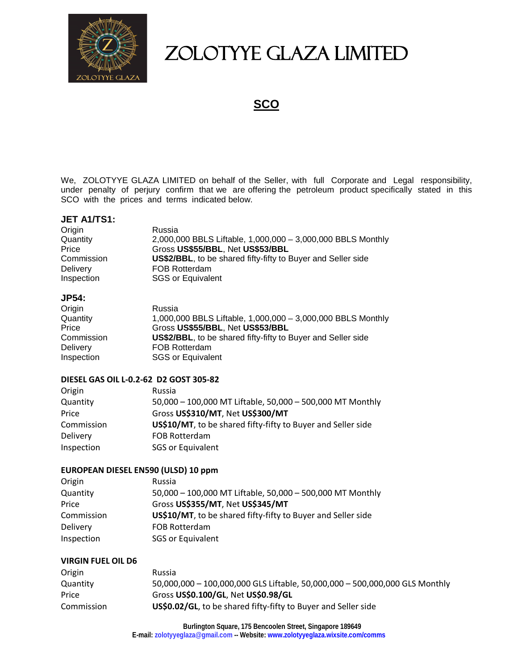

# ZOLOTYYE GLAZA LIMITED

**SCO**

We, ZOLOTYYE GLAZA LIMITED on behalf of the Seller, with full Corporate and Legal responsibility, under penalty of perjury confirm that we are offering the petroleum product specifically stated in this SCO with the prices and terms indicated below.

### **JET A1/TS1:**

| Origin          | Russia                                                       |
|-----------------|--------------------------------------------------------------|
| Quantity        | 2,000,000 BBLS Liftable, 1,000,000 - 3,000,000 BBLS Monthly  |
| Price           | Gross US\$55/BBL, Net US\$53/BBL                             |
| Commission      | US\$2/BBL, to be shared fifty-fifty to Buyer and Seller side |
| <b>Delivery</b> | <b>FOB Rotterdam</b>                                         |
| Inspection      | <b>SGS or Equivalent</b>                                     |

#### **JP54:**

| Origin          | Russia                                                               |
|-----------------|----------------------------------------------------------------------|
| Quantity        | 1,000,000 BBLS Liftable, 1,000,000 - 3,000,000 BBLS Monthly          |
| Price           | Gross US\$55/BBL, Net US\$53/BBL                                     |
| Commission      | <b>US\$2/BBL</b> , to be shared fifty-fifty to Buyer and Seller side |
| <b>Delivery</b> | <b>FOB Rotterdam</b>                                                 |
| Inspection      | <b>SGS or Equivalent</b>                                             |
|                 |                                                                      |

#### **DIESEL GAS OIL L-0.2-62 D2 GOST 305-82**

| Origin     | Russia                                                       |
|------------|--------------------------------------------------------------|
| Quantity   | 50,000 - 100,000 MT Liftable, 50,000 - 500,000 MT Monthly    |
| Price      | Gross US\$310/MT, Net US\$300/MT                             |
| Commission | US\$10/MT, to be shared fifty-fifty to Buyer and Seller side |
| Delivery   | FOB Rotterdam                                                |
| Inspection | <b>SGS or Equivalent</b>                                     |

## **EUROPEAN DIESEL EN590 (ULSD) 10 ppm**

| Origin          | Russia                                                       |
|-----------------|--------------------------------------------------------------|
| Quantity        | 50,000 - 100,000 MT Liftable, 50,000 - 500,000 MT Monthly    |
| Price           | Gross US\$355/MT, Net US\$345/MT                             |
| Commission      | US\$10/MT, to be shared fifty-fifty to Buyer and Seller side |
| <b>Delivery</b> | FOB Rotterdam                                                |
| Inspection      | <b>SGS or Equivalent</b>                                     |

#### **VIRGIN FUEL OIL D6**

| Origin     | Russia                                                                      |
|------------|-----------------------------------------------------------------------------|
| Quantity   | 50,000,000 - 100,000,000 GLS Liftable, 50,000,000 - 500,000,000 GLS Monthly |
| Price      | Gross US\$0.100/GL, Net US\$0.98/GL                                         |
| Commission | US\$0.02/GL, to be shared fifty-fifty to Buyer and Seller side              |